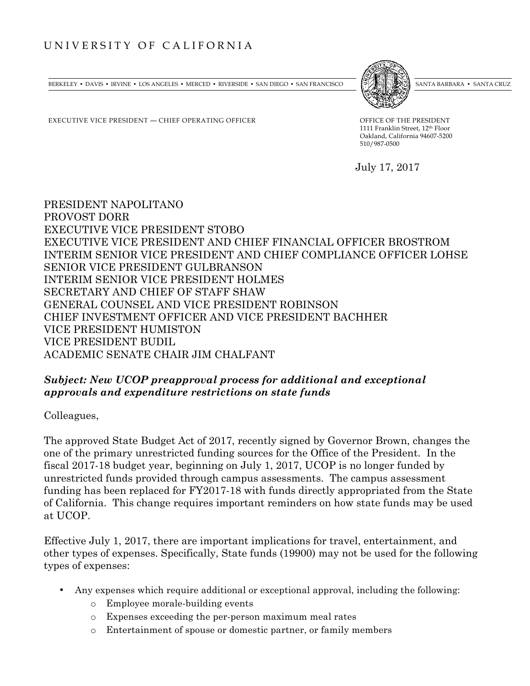## UNIVERSITY OF CALIFORNIA

BERKELEY • DAVIS • IRVINE • LOS ANGELES • MERCED • RIVERSIDE • SAN DIEGO • SAN FRANCISCO [37] ANTA BARBARA • SANTA CRUZ

EXECUTIVE VICE PRESIDENT — CHIEF OPERATING OFFICER OFFICE OF THE PRESIDENT

1111 Franklin Street, 12th Floor Oakland, California 94607-5200

July 17, 2017

510/987-0500

PRESIDENT NAPOLITANO PROVOST DORR EXECUTIVE VICE PRESIDENT STOBO EXECUTIVE VICE PRESIDENT AND CHIEF FINANCIAL OFFICER BROSTROM INTERIM SENIOR VICE PRESIDENT AND CHIEF COMPLIANCE OFFICER LOHSE SENIOR VICE PRESIDENT GULBRANSON INTERIM SENIOR VICE PRESIDENT HOLMES SECRETARY AND CHIEF OF STAFF SHAW GENERAL COUNSEL AND VICE PRESIDENT ROBINSON CHIEF INVESTMENT OFFICER AND VICE PRESIDENT BACHHER VICE PRESIDENT HUMISTON VICE PRESIDENT BUDIL ACADEMIC SENATE CHAIR JIM CHALFANT

## *Subject: New UCOP preapproval process for additional and exceptional approvals and expenditure restrictions on state funds*

Colleagues,

The approved State Budget Act of 2017, recently signed by Governor Brown, changes the one of the primary unrestricted funding sources for the Office of the President. In the fiscal 2017-18 budget year, beginning on July 1, 2017, UCOP is no longer funded by unrestricted funds provided through campus assessments. The campus assessment funding has been replaced for FY2017-18 with funds directly appropriated from the State of California. This change requires important reminders on how state funds may be used at UCOP.

Effective July 1, 2017, there are important implications for travel, entertainment, and other types of expenses. Specifically, State funds (19900) may not be used for the following types of expenses:

- Any expenses which require additional or exceptional approval, including the following:
	- o Employee morale-building events
	- o Expenses exceeding the per-person maximum meal rates
	- o Entertainment of spouse or domestic partner, or family members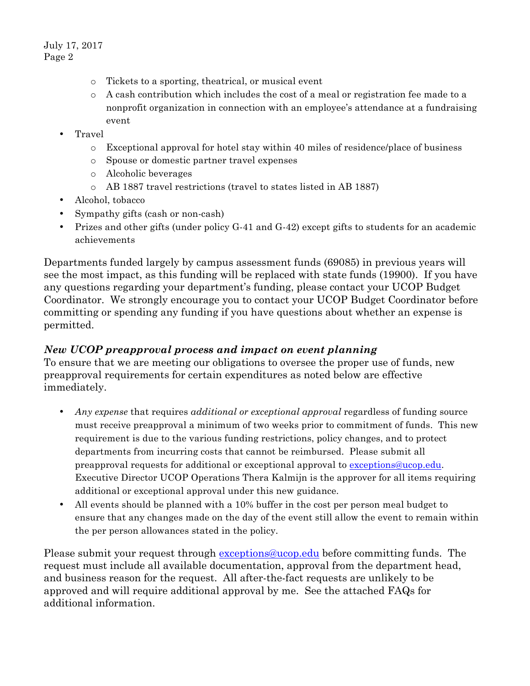July 17, 2017 Page 2

- o Tickets to a sporting, theatrical, or musical event
- o A cash contribution which includes the cost of a meal or registration fee made to a nonprofit organization in connection with an employee's attendance at a fundraising event
- Travel
	- o Exceptional approval for hotel stay within 40 miles of residence/place of business
	- o Spouse or domestic partner travel expenses
	- o Alcoholic beverages
	- o AB 1887 travel restrictions (travel to states listed in AB 1887)
- Alcohol, tobacco
- Sympathy gifts (cash or non-cash)
- Prizes and other gifts (under policy G-41 and G-42) except gifts to students for an academic achievements

Departments funded largely by campus assessment funds (69085) in previous years will see the most impact, as this funding will be replaced with state funds (19900). If you have any questions regarding your department's funding, please contact your UCOP Budget Coordinator. We strongly encourage you to contact your UCOP Budget Coordinator before committing or spending any funding if you have questions about whether an expense is permitted.

## *New UCOP preapproval process and impact on event planning*

To ensure that we are meeting our obligations to oversee the proper use of funds, new preapproval requirements for certain expenditures as noted below are effective immediately.

- *Any expense* that requires *additional or exceptional approval* regardless of funding source must receive preapproval a minimum of two weeks prior to commitment of funds. This new requirement is due to the various funding restrictions, policy changes, and to protect departments from incurring costs that cannot be reimbursed. Please submit all preapproval requests for additional or exceptional approval to exceptions@ucop.edu. Executive Director UCOP Operations Thera Kalmijn is the approver for all items requiring additional or exceptional approval under this new guidance.
- All events should be planned with a 10% buffer in the cost per person meal budget to ensure that any changes made on the day of the event still allow the event to remain within the per person allowances stated in the policy.

Please submit your request through exceptions@ucop.edu before committing funds. The request must include all available documentation, approval from the department head, and business reason for the request. All after-the-fact requests are unlikely to be approved and will require additional approval by me. See the attached FAQs for additional information.